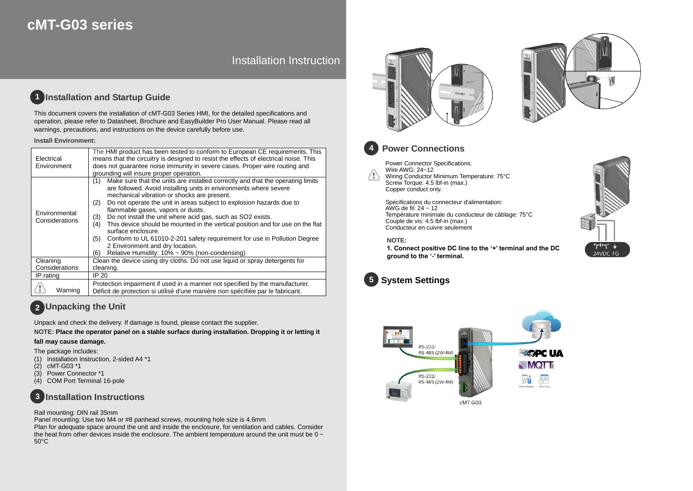# **cMT-G03 series**

# Installation Instruction

#### **Installation and Startup Guide 1**

This document covers the installation of cMT-G03 Series HMI, for the detailed specifications and operation, please refer to Datasheet, Brochure and EasyBuilder Pro User Manual. Please read all warnings, precautions, and instructions on the device carefully before use.

### **Install Environment:**

| Electrical<br>Environment       | The HMI product has been tested to conform to European CE requirements. This<br>means that the circuitry is designed to resist the effects of electrical noise. This<br>does not quarantee noise immunity in severe cases. Proper wire routing and<br>grounding will insure proper operation.                                                                                                                                                                                                                                                                                                                                                                                                    |  |  |  |  |
|---------------------------------|--------------------------------------------------------------------------------------------------------------------------------------------------------------------------------------------------------------------------------------------------------------------------------------------------------------------------------------------------------------------------------------------------------------------------------------------------------------------------------------------------------------------------------------------------------------------------------------------------------------------------------------------------------------------------------------------------|--|--|--|--|
| Environmental<br>Considerations | Make sure that the units are installed correctly and that the operating limits<br>(1)<br>are followed. Avoid installing units in environments where severe<br>mechanical vibration or shocks are present.<br>Do not operate the unit in areas subject to explosion hazards due to<br>(2)<br>flammable gases, vapors or dusts.<br>Do not install the unit where acid gas, such as SO2 exists.<br>(3)<br>This device should be mounted in the vertical position and for use on the flat<br>(4)<br>surface enclosure.<br>Conform to UL 61010-2-201 safety requirement for use in Pollution Degree<br>(5)<br>2 Environment and dry location.<br>Relative Humidity: 10% ~ 90% (non-condensing)<br>(6) |  |  |  |  |
| Cleaning                        | Clean the device using dry cloths. Do not use liquid or spray detergents for                                                                                                                                                                                                                                                                                                                                                                                                                                                                                                                                                                                                                     |  |  |  |  |
| Considerations                  | cleaning.                                                                                                                                                                                                                                                                                                                                                                                                                                                                                                                                                                                                                                                                                        |  |  |  |  |
| IP rating                       | IP 20                                                                                                                                                                                                                                                                                                                                                                                                                                                                                                                                                                                                                                                                                            |  |  |  |  |
| Warning                         | Protection impairment if used in a manner not specified by the manufacturer.<br>Déficit de protection si utilisé d'une manière non spécifiée par le fabricant.                                                                                                                                                                                                                                                                                                                                                                                                                                                                                                                                   |  |  |  |  |

# **Unpacking the Unit 2**

Unpack and check the delivery. If damage is found, please contact the supplier.

**NOTE: Place the operator panel on a stable surface during installation. Dropping it or letting it** 

### **fall may cause damage.**

The package includes:

- (1) Installation Instruction, 2-sided A4 \*1
- (2) cMT-G03 \*1
- (3) Power Connector \*1
- (4) COM Port Terminal 16-pole

#### **Installation Instructions 3**

### Rail mounting: DIN rail 35mm

Panel mounting: Use two M4 or #8 panhead screws, mounting hole size is 4.6mm Plan for adequate space around the unit and inside the enclosure, for ventilation and cables. Consider the heat from other devices inside the enclosure. The ambient temperature around the unit must be  $0 \sim$ 50°C







# **Power Connections**

Power Connector Specifications: Wire AWG: 24~12 /!\ Wiring Conductor Minimum Temperature: 75°C Screw Torque: 4.5 lbf-in (max.) Copper conduct only.

> Spécifications du connecteur d'alimentation: AWG de fil:  $24 \sim 12$ Température minimale du conducteur de câblage: 75°C Couple de vis: 4.5 lbf-in (max.) Conducteur en cuivre seulement

### **NOTE:**

**1. Connect positive DC line to the '+' terminal and the DC ground to the '-' terminal.**